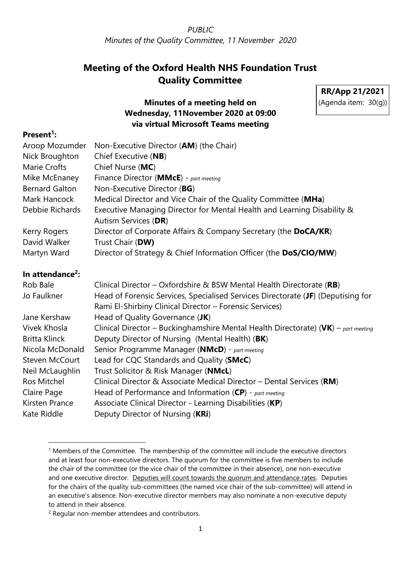# **Meeting of the Oxford Health NHS Foundation Trust Quality Committee**

**RR/App 21/2021** (Agenda item: 30(g))

### **Minutes of a meeting held on Wednesday, 11November 2020 at 09:00 via virtual Microsoft Teams meeting**

#### **Present<sup>1</sup> :**

| Non-Executive Director (AM) (the Chair)                                                                                                     |
|---------------------------------------------------------------------------------------------------------------------------------------------|
| Chief Executive (NB)                                                                                                                        |
| Chief Nurse (MC)                                                                                                                            |
| Finance Director (MMcE) - part meeting                                                                                                      |
| Non-Executive Director (BG)                                                                                                                 |
| Medical Director and Vice Chair of the Quality Committee (MHa)                                                                              |
| Executive Managing Director for Mental Health and Learning Disability &<br>Autism Services (DR)                                             |
| Director of Corporate Affairs & Company Secretary (the DoCA/KR)                                                                             |
| Trust Chair (DW)                                                                                                                            |
| Director of Strategy & Chief Information Officer (the DoS/CIO/MW)                                                                           |
|                                                                                                                                             |
| Clinical Director - Oxfordshire & BSW Mental Health Directorate (RB)                                                                        |
| Head of Forensic Services, Specialised Services Directorate (JF) (Deputising for<br>Rami El-Shirbiny Clinical Director - Forensic Services) |
| Head of Quality Governance (JK)                                                                                                             |
| Clinical Director - Buckinghamshire Mental Health Directorate) (VK) - part meeting<br>Deputy Director of Nursing (Mental Health) (BK)       |
| Senior Programme Manager (NMcD) - part meeting                                                                                              |
| Lead for CQC Standards and Quality (SMcC)                                                                                                   |
| Trust Solicitor & Risk Manager (NMcL)                                                                                                       |
| Clinical Director & Associate Medical Director - Dental Services (RM)                                                                       |
| Head of Performance and Information $(CP)$ - part meeting                                                                                   |
| Associate Clinical Director - Learning Disabilities (KP)                                                                                    |
| Deputy Director of Nursing (KRi)                                                                                                            |
|                                                                                                                                             |

<sup>1</sup> Members of the Committee. The membership of the committee will include the executive directors and at least four non-executive directors. The quorum for the committee is five members to include the chair of the committee (or the vice chair of the committee in their absence), one non-executive and one executive director. Deputies will count towards the quorum and attendance rates. Deputies for the chairs of the quality sub-committees (the named vice chair of the sub-committee) will attend in an executive's absence. Non-executive director members may also nominate a non-executive deputy to attend in their absence.

<sup>2</sup> Regular non-member attendees and contributors.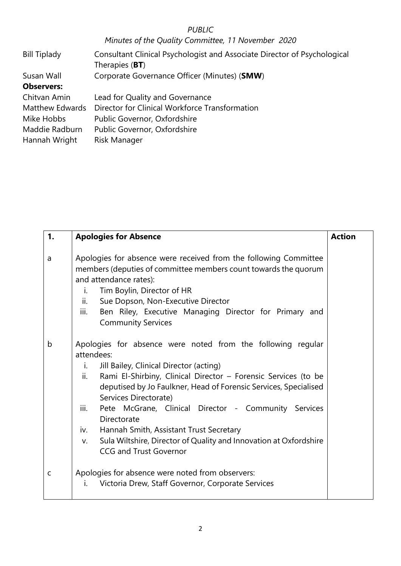# *PUBLIC*

| <b>Bill Tiplady</b> | Consultant Clinical Psychologist and Associate Director of Psychological<br>Therapies (BT) |
|---------------------|--------------------------------------------------------------------------------------------|
| Susan Wall          | Corporate Governance Officer (Minutes) (SMW)                                               |
| <b>Observers:</b>   |                                                                                            |
| Chitvan Amin        | Lead for Quality and Governance                                                            |
| Matthew Edwards     | Director for Clinical Workforce Transformation                                             |
| Mike Hobbs          | Public Governor, Oxfordshire                                                               |
| Maddie Radburn      | Public Governor, Oxfordshire                                                               |
| Hannah Wright       | Risk Manager                                                                               |

| 1. | <b>Apologies for Absence</b>                                                                                                                                                                                                                                                                                                                                                                                                                                                                                                                  | <b>Action</b> |
|----|-----------------------------------------------------------------------------------------------------------------------------------------------------------------------------------------------------------------------------------------------------------------------------------------------------------------------------------------------------------------------------------------------------------------------------------------------------------------------------------------------------------------------------------------------|---------------|
| a  | Apologies for absence were received from the following Committee<br>members (deputies of committee members count towards the quorum<br>and attendance rates):<br>Tim Boylin, Director of HR<br>i.<br>ii.<br>Sue Dopson, Non-Executive Director<br>iii.<br>Ben Riley, Executive Managing Director for Primary and<br><b>Community Services</b>                                                                                                                                                                                                 |               |
| b  | Apologies for absence were noted from the following regular<br>attendees:<br>Jill Bailey, Clinical Director (acting)<br>i.<br>ii.<br>Rami El-Shirbiny, Clinical Director - Forensic Services (to be<br>deputised by Jo Faulkner, Head of Forensic Services, Specialised<br>Services Directorate)<br>iii.<br>Pete McGrane, Clinical Director - Community Services<br>Directorate<br>Hannah Smith, Assistant Trust Secretary<br>iv.<br>Sula Wiltshire, Director of Quality and Innovation at Oxfordshire<br>V.<br><b>CCG and Trust Governor</b> |               |
| C  | Apologies for absence were noted from observers:<br>Victoria Drew, Staff Governor, Corporate Services<br>i.                                                                                                                                                                                                                                                                                                                                                                                                                                   |               |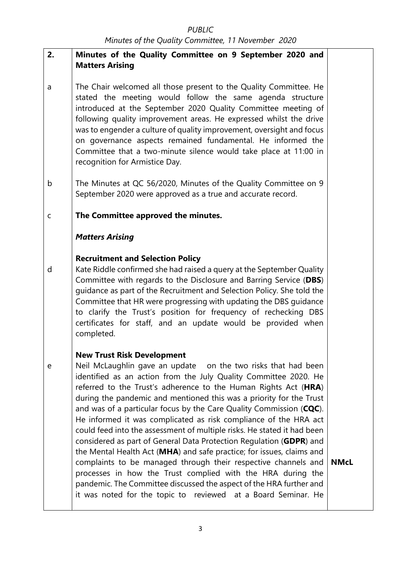| 2.          | Minutes of the Quality Committee on 9 September 2020 and<br><b>Matters Arising</b>                                                                                                                                                                                                                                                                                                                                                                                                                                                                                                                                                                                                                                                                       |             |
|-------------|----------------------------------------------------------------------------------------------------------------------------------------------------------------------------------------------------------------------------------------------------------------------------------------------------------------------------------------------------------------------------------------------------------------------------------------------------------------------------------------------------------------------------------------------------------------------------------------------------------------------------------------------------------------------------------------------------------------------------------------------------------|-------------|
| a           | The Chair welcomed all those present to the Quality Committee. He<br>stated the meeting would follow the same agenda structure<br>introduced at the September 2020 Quality Committee meeting of<br>following quality improvement areas. He expressed whilst the drive<br>was to engender a culture of quality improvement, oversight and focus<br>on governance aspects remained fundamental. He informed the<br>Committee that a two-minute silence would take place at 11:00 in<br>recognition for Armistice Day.                                                                                                                                                                                                                                      |             |
| b           | The Minutes at QC 56/2020, Minutes of the Quality Committee on 9<br>September 2020 were approved as a true and accurate record.                                                                                                                                                                                                                                                                                                                                                                                                                                                                                                                                                                                                                          |             |
| $\mathsf C$ | The Committee approved the minutes.                                                                                                                                                                                                                                                                                                                                                                                                                                                                                                                                                                                                                                                                                                                      |             |
|             | <b>Matters Arising</b>                                                                                                                                                                                                                                                                                                                                                                                                                                                                                                                                                                                                                                                                                                                                   |             |
| d           | <b>Recruitment and Selection Policy</b><br>Kate Riddle confirmed she had raised a query at the September Quality<br>Committee with regards to the Disclosure and Barring Service (DBS)<br>guidance as part of the Recruitment and Selection Policy. She told the<br>Committee that HR were progressing with updating the DBS guidance<br>to clarify the Trust's position for frequency of rechecking DBS<br>certificates for staff, and an update would be provided when<br>completed.                                                                                                                                                                                                                                                                   |             |
| e           | <b>New Trust Risk Development</b><br>Neil McLaughlin gave an update on the two risks that had been<br>identified as an action from the July Quality Committee 2020. He<br>referred to the Trust's adherence to the Human Rights Act (HRA)<br>during the pandemic and mentioned this was a priority for the Trust<br>and was of a particular focus by the Care Quality Commission (CQC).<br>He informed it was complicated as risk compliance of the HRA act<br>could feed into the assessment of multiple risks. He stated it had been<br>considered as part of General Data Protection Regulation (GDPR) and<br>the Mental Health Act (MHA) and safe practice; for issues, claims and<br>complaints to be managed through their respective channels and | <b>NMcL</b> |
|             | processes in how the Trust complied with the HRA during the<br>pandemic. The Committee discussed the aspect of the HRA further and<br>it was noted for the topic to reviewed at a Board Seminar. He                                                                                                                                                                                                                                                                                                                                                                                                                                                                                                                                                      |             |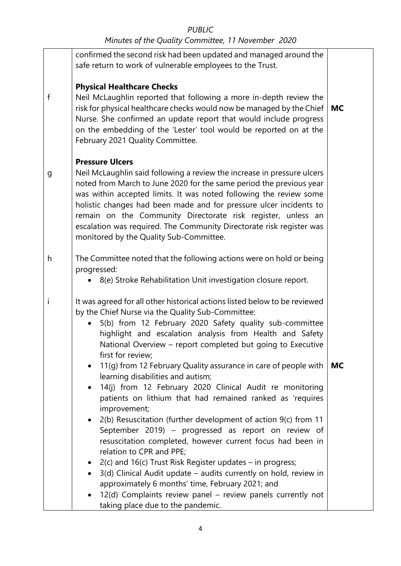|              | confirmed the second risk had been updated and managed around the<br>safe return to work of vulnerable employees to the Trust.                                                                                                                                                                                                                                                                                                                                                                          |           |
|--------------|---------------------------------------------------------------------------------------------------------------------------------------------------------------------------------------------------------------------------------------------------------------------------------------------------------------------------------------------------------------------------------------------------------------------------------------------------------------------------------------------------------|-----------|
| f            | <b>Physical Healthcare Checks</b><br>Neil McLaughlin reported that following a more in-depth review the<br>risk for physical healthcare checks would now be managed by the Chief<br>Nurse. She confirmed an update report that would include progress<br>on the embedding of the 'Lester' tool would be reported on at the<br>February 2021 Quality Committee.                                                                                                                                          | <b>MC</b> |
| $\mathsf g$  | <b>Pressure Ulcers</b><br>Neil McLaughlin said following a review the increase in pressure ulcers<br>noted from March to June 2020 for the same period the previous year<br>was within accepted limits. It was noted following the review some<br>holistic changes had been made and for pressure ulcer incidents to<br>remain on the Community Directorate risk register, unless an<br>escalation was required. The Community Directorate risk register was<br>monitored by the Quality Sub-Committee. |           |
| h            | The Committee noted that the following actions were on hold or being<br>progressed:<br>8(e) Stroke Rehabilitation Unit investigation closure report.                                                                                                                                                                                                                                                                                                                                                    |           |
| $\mathbf{i}$ | It was agreed for all other historical actions listed below to be reviewed<br>by the Chief Nurse via the Quality Sub-Committee:<br>5(b) from 12 February 2020 Safety quality sub-committee<br>$\bullet$<br>highlight and escalation analysis from Health and Safety<br>National Overview - report completed but going to Executive<br>first for review;                                                                                                                                                 |           |
|              | 11(g) from 12 February Quality assurance in care of people with<br>$\bullet$<br>learning disabilities and autism;<br>14(j) from 12 February 2020 Clinical Audit re monitoring<br>$\bullet$<br>patients on lithium that had remained ranked as 'requires<br>improvement;                                                                                                                                                                                                                                 | <b>MC</b> |
|              | 2(b) Resuscitation (further development of action 9(c) from 11<br>$\bullet$<br>September 2019) - progressed as report on review of<br>resuscitation completed, however current focus had been in<br>relation to CPR and PPE;<br>2(c) and 16(c) Trust Risk Register updates – in progress;<br>$\bullet$                                                                                                                                                                                                  |           |
|              | 3(d) Clinical Audit update - audits currently on hold, review in<br>$\bullet$<br>approximately 6 months' time, February 2021; and<br>12(d) Complaints review panel - review panels currently not<br>$\bullet$<br>taking place due to the pandemic.                                                                                                                                                                                                                                                      |           |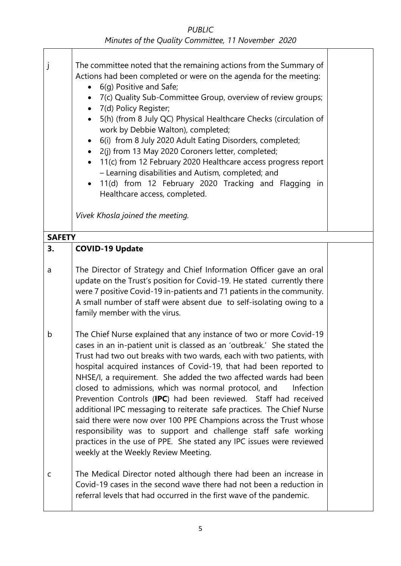| j             | The committee noted that the remaining actions from the Summary of<br>Actions had been completed or were on the agenda for the meeting:<br>6(g) Positive and Safe;<br>$\bullet$<br>7(c) Quality Sub-Committee Group, overview of review groups;<br>$\bullet$<br>7(d) Policy Register;<br>5(h) (from 8 July QC) Physical Healthcare Checks (circulation of<br>$\bullet$<br>work by Debbie Walton), completed;<br>6(i) from 8 July 2020 Adult Eating Disorders, completed;<br>2(j) from 13 May 2020 Coroners letter, completed;<br>$\bullet$<br>11(c) from 12 February 2020 Healthcare access progress report<br>$\bullet$<br>- Learning disabilities and Autism, completed; and<br>11(d) from 12 February 2020 Tracking and Flagging in<br>$\bullet$<br>Healthcare access, completed.<br>Vivek Khosla joined the meeting.                  |  |
|---------------|-------------------------------------------------------------------------------------------------------------------------------------------------------------------------------------------------------------------------------------------------------------------------------------------------------------------------------------------------------------------------------------------------------------------------------------------------------------------------------------------------------------------------------------------------------------------------------------------------------------------------------------------------------------------------------------------------------------------------------------------------------------------------------------------------------------------------------------------|--|
| <b>SAFETY</b> |                                                                                                                                                                                                                                                                                                                                                                                                                                                                                                                                                                                                                                                                                                                                                                                                                                           |  |
| 3.            | <b>COVID-19 Update</b>                                                                                                                                                                                                                                                                                                                                                                                                                                                                                                                                                                                                                                                                                                                                                                                                                    |  |
|               |                                                                                                                                                                                                                                                                                                                                                                                                                                                                                                                                                                                                                                                                                                                                                                                                                                           |  |
| a             | The Director of Strategy and Chief Information Officer gave an oral<br>update on the Trust's position for Covid-19. He stated currently there<br>were 7 positive Covid-19 in-patients and 71 patients in the community.<br>A small number of staff were absent due to self-isolating owing to a<br>family member with the virus.                                                                                                                                                                                                                                                                                                                                                                                                                                                                                                          |  |
| b             | The Chief Nurse explained that any instance of two or more Covid-19<br>cases in an in-patient unit is classed as an 'outbreak.' She stated the<br>Trust had two out breaks with two wards, each with two patients, with<br>hospital acquired instances of Covid-19, that had been reported to<br>NHSE/I, a requirement. She added the two affected wards had been<br>closed to admissions, which was normal protocol, and<br>Infection<br>Prevention Controls (IPC) had been reviewed. Staff had received<br>additional IPC messaging to reiterate safe practices. The Chief Nurse<br>said there were now over 100 PPE Champions across the Trust whose<br>responsibility was to support and challenge staff safe working<br>practices in the use of PPE. She stated any IPC issues were reviewed<br>weekly at the Weekly Review Meeting. |  |
| C             | The Medical Director noted although there had been an increase in<br>Covid-19 cases in the second wave there had not been a reduction in<br>referral levels that had occurred in the first wave of the pandemic.                                                                                                                                                                                                                                                                                                                                                                                                                                                                                                                                                                                                                          |  |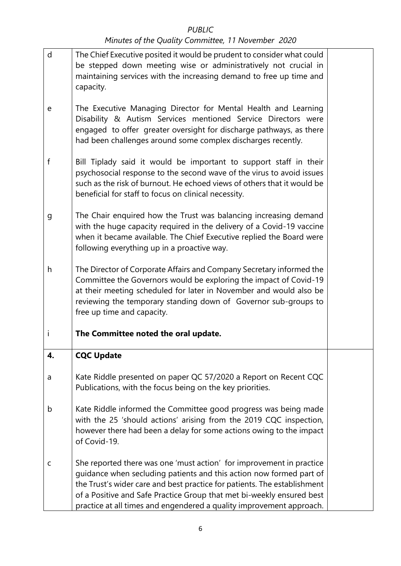| d  | The Chief Executive posited it would be prudent to consider what could<br>be stepped down meeting wise or administratively not crucial in<br>maintaining services with the increasing demand to free up time and<br>capacity.                                                                                                                                            |  |
|----|--------------------------------------------------------------------------------------------------------------------------------------------------------------------------------------------------------------------------------------------------------------------------------------------------------------------------------------------------------------------------|--|
| e  | The Executive Managing Director for Mental Health and Learning<br>Disability & Autism Services mentioned Service Directors were<br>engaged to offer greater oversight for discharge pathways, as there<br>had been challenges around some complex discharges recently.                                                                                                   |  |
| f  | Bill Tiplady said it would be important to support staff in their<br>psychosocial response to the second wave of the virus to avoid issues<br>such as the risk of burnout. He echoed views of others that it would be<br>beneficial for staff to focus on clinical necessity.                                                                                            |  |
| g  | The Chair enquired how the Trust was balancing increasing demand<br>with the huge capacity required in the delivery of a Covid-19 vaccine<br>when it became available. The Chief Executive replied the Board were<br>following everything up in a proactive way.                                                                                                         |  |
| h  | The Director of Corporate Affairs and Company Secretary informed the<br>Committee the Governors would be exploring the impact of Covid-19<br>at their meeting scheduled for later in November and would also be<br>reviewing the temporary standing down of Governor sub-groups to<br>free up time and capacity.                                                         |  |
| i  | The Committee noted the oral update.                                                                                                                                                                                                                                                                                                                                     |  |
| 4. | <b>CQC Update</b>                                                                                                                                                                                                                                                                                                                                                        |  |
| a  | Kate Riddle presented on paper QC 57/2020 a Report on Recent CQC<br>Publications, with the focus being on the key priorities.                                                                                                                                                                                                                                            |  |
| b  | Kate Riddle informed the Committee good progress was being made<br>with the 25 'should actions' arising from the 2019 CQC inspection,<br>however there had been a delay for some actions owing to the impact<br>of Covid-19.                                                                                                                                             |  |
| c  | She reported there was one 'must action' for improvement in practice<br>guidance when secluding patients and this action now formed part of<br>the Trust's wider care and best practice for patients. The establishment<br>of a Positive and Safe Practice Group that met bi-weekly ensured best<br>practice at all times and engendered a quality improvement approach. |  |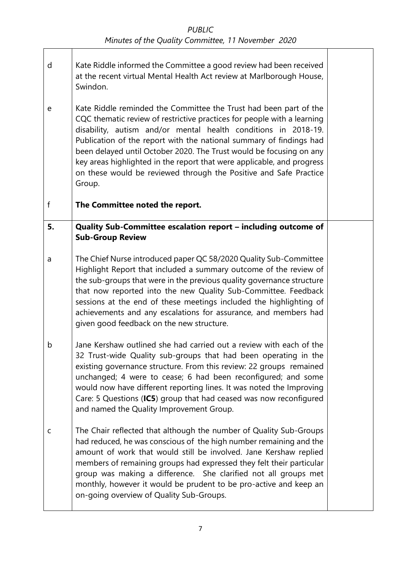- d Kate Riddle informed the Committee a good review had been received at the recent virtual Mental Health Act review at Marlborough House, Swindon.
- e Kate Riddle reminded the Committee the Trust had been part of the CQC thematic review of restrictive practices for people with a learning disability, autism and/or mental health conditions in 2018-19. Publication of the report with the national summary of findings had been delayed until October 2020. The Trust would be focusing on any key areas highlighted in the report that were applicable, and progress on these would be reviewed through the Positive and Safe Practice Group.

f **The Committee noted the report.**

- **5. Quality Sub-Committee escalation report – including outcome of Sub-Group Review**
- a The Chief Nurse introduced paper QC 58/2020 Quality Sub-Committee Highlight Report that included a summary outcome of the review of the sub-groups that were in the previous quality governance structure that now reported into the new Quality Sub-Committee. Feedback sessions at the end of these meetings included the highlighting of achievements and any escalations for assurance, and members had given good feedback on the new structure.
- b Jane Kershaw outlined she had carried out a review with each of the 32 Trust-wide Quality sub-groups that had been operating in the existing governance structure. From this review: 22 groups remained unchanged; 4 were to cease; 6 had been reconfigured; and some would now have different reporting lines. It was noted the Improving Care: 5 Questions (**IC5**) group that had ceased was now reconfigured and named the Quality Improvement Group.
- c The Chair reflected that although the number of Quality Sub-Groups had reduced, he was conscious of the high number remaining and the amount of work that would still be involved. Jane Kershaw replied members of remaining groups had expressed they felt their particular group was making a difference. She clarified not all groups met monthly, however it would be prudent to be pro-active and keep an on-going overview of Quality Sub-Groups.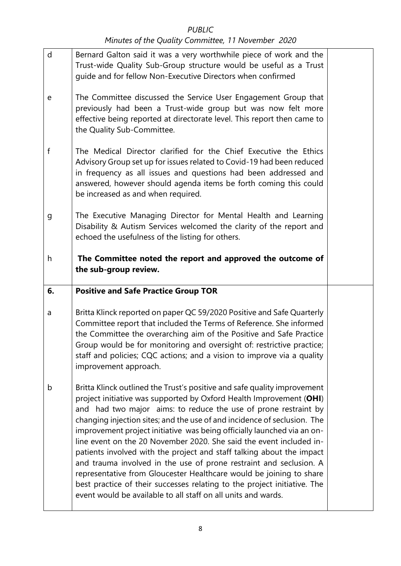| $\mathsf{d}$ | Bernard Galton said it was a very worthwhile piece of work and the<br>Trust-wide Quality Sub-Group structure would be useful as a Trust<br>guide and for fellow Non-Executive Directors when confirmed                                                                                                                                                                                           |  |
|--------------|--------------------------------------------------------------------------------------------------------------------------------------------------------------------------------------------------------------------------------------------------------------------------------------------------------------------------------------------------------------------------------------------------|--|
| е            | The Committee discussed the Service User Engagement Group that<br>previously had been a Trust-wide group but was now felt more<br>effective being reported at directorate level. This report then came to<br>the Quality Sub-Committee.                                                                                                                                                          |  |
| f            | The Medical Director clarified for the Chief Executive the Ethics<br>Advisory Group set up for issues related to Covid-19 had been reduced<br>in frequency as all issues and questions had been addressed and<br>answered, however should agenda items be forth coming this could<br>be increased as and when required.                                                                          |  |
| g            | The Executive Managing Director for Mental Health and Learning<br>Disability & Autism Services welcomed the clarity of the report and<br>echoed the usefulness of the listing for others.                                                                                                                                                                                                        |  |
| h            | The Committee noted the report and approved the outcome of<br>the sub-group review.                                                                                                                                                                                                                                                                                                              |  |
|              |                                                                                                                                                                                                                                                                                                                                                                                                  |  |
| 6.           | <b>Positive and Safe Practice Group TOR</b>                                                                                                                                                                                                                                                                                                                                                      |  |
| a            | Britta Klinck reported on paper QC 59/2020 Positive and Safe Quarterly<br>Committee report that included the Terms of Reference. She informed<br>the Committee the overarching aim of the Positive and Safe Practice<br>Group would be for monitoring and oversight of: restrictive practice;<br>staff and policies; CQC actions; and a vision to improve via a quality<br>improvement approach. |  |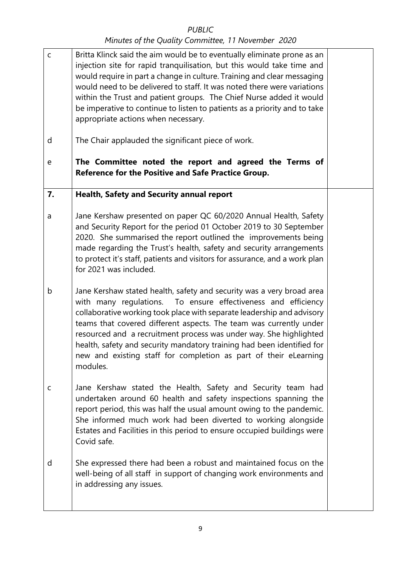| $\mathsf C$ | Britta Klinck said the aim would be to eventually eliminate prone as an<br>injection site for rapid tranquilisation, but this would take time and<br>would require in part a change in culture. Training and clear messaging<br>would need to be delivered to staff. It was noted there were variations<br>within the Trust and patient groups. The Chief Nurse added it would<br>be imperative to continue to listen to patients as a priority and to take<br>appropriate actions when necessary.                     |  |
|-------------|------------------------------------------------------------------------------------------------------------------------------------------------------------------------------------------------------------------------------------------------------------------------------------------------------------------------------------------------------------------------------------------------------------------------------------------------------------------------------------------------------------------------|--|
| d           | The Chair applauded the significant piece of work.                                                                                                                                                                                                                                                                                                                                                                                                                                                                     |  |
| ${\bf e}$   | The Committee noted the report and agreed the Terms of<br><b>Reference for the Positive and Safe Practice Group.</b>                                                                                                                                                                                                                                                                                                                                                                                                   |  |
| 7.          | <b>Health, Safety and Security annual report</b>                                                                                                                                                                                                                                                                                                                                                                                                                                                                       |  |
| a           | Jane Kershaw presented on paper QC 60/2020 Annual Health, Safety<br>and Security Report for the period 01 October 2019 to 30 September<br>2020. She summarised the report outlined the improvements being<br>made regarding the Trust's health, safety and security arrangements<br>to protect it's staff, patients and visitors for assurance, and a work plan<br>for 2021 was included.                                                                                                                              |  |
| b           | Jane Kershaw stated health, safety and security was a very broad area<br>with many regulations. To ensure effectiveness and efficiency<br>collaborative working took place with separate leadership and advisory<br>teams that covered different aspects. The team was currently under<br>resourced and a recruitment process was under way. She highlighted<br>health, safety and security mandatory training had been identified for<br>new and existing staff for completion as part of their eLearning<br>modules. |  |
| C           | Jane Kershaw stated the Health, Safety and Security team had<br>undertaken around 60 health and safety inspections spanning the<br>report period, this was half the usual amount owing to the pandemic.<br>She informed much work had been diverted to working alongside<br>Estates and Facilities in this period to ensure occupied buildings were<br>Covid safe.                                                                                                                                                     |  |
| d           | She expressed there had been a robust and maintained focus on the<br>well-being of all staff in support of changing work environments and<br>in addressing any issues.                                                                                                                                                                                                                                                                                                                                                 |  |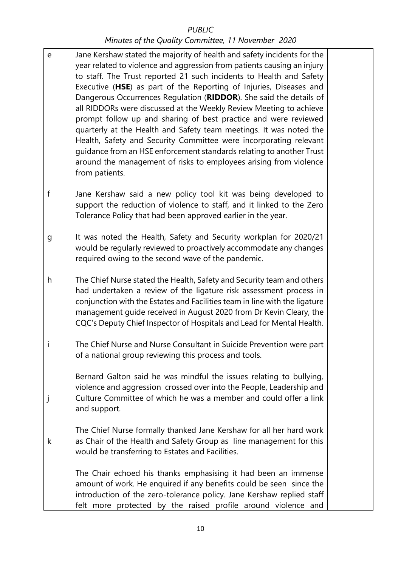e f g h i j k Jane Kershaw stated the majority of health and safety incidents for the year related to violence and aggression from patients causing an injury to staff. The Trust reported 21 such incidents to Health and Safety Executive (**HSE**) as part of the Reporting of Injuries, Diseases and Dangerous Occurrences Regulation (**RIDDOR**). She said the details of all RIDDORs were discussed at the Weekly Review Meeting to achieve prompt follow up and sharing of best practice and were reviewed quarterly at the Health and Safety team meetings. It was noted the Health, Safety and Security Committee were incorporating relevant guidance from an HSE enforcement standards relating to another Trust around the management of risks to employees arising from violence from patients. Jane Kershaw said a new policy tool kit was being developed to support the reduction of violence to staff, and it linked to the Zero Tolerance Policy that had been approved earlier in the year. It was noted the Health, Safety and Security workplan for 2020/21 would be regularly reviewed to proactively accommodate any changes required owing to the second wave of the pandemic. The Chief Nurse stated the Health, Safety and Security team and others had undertaken a review of the ligature risk assessment process in conjunction with the Estates and Facilities team in line with the ligature management guide received in August 2020 from Dr Kevin Cleary, the CQC's Deputy Chief Inspector of Hospitals and Lead for Mental Health. The Chief Nurse and Nurse Consultant in Suicide Prevention were part of a national group reviewing this process and tools. Bernard Galton said he was mindful the issues relating to bullying, violence and aggression crossed over into the People, Leadership and Culture Committee of which he was a member and could offer a link and support. The Chief Nurse formally thanked Jane Kershaw for all her hard work as Chair of the Health and Safety Group as line management for this would be transferring to Estates and Facilities. The Chair echoed his thanks emphasising it had been an immense amount of work. He enquired if any benefits could be seen since the introduction of the zero-tolerance policy. Jane Kershaw replied staff felt more protected by the raised profile around violence and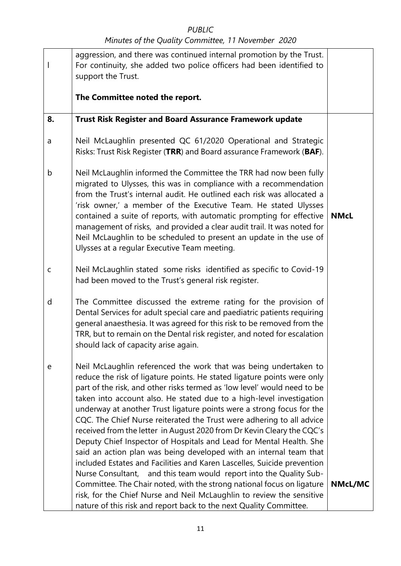### *PUBLIC*

|             | aggression, and there was continued internal promotion by the Trust.<br>For continuity, she added two police officers had been identified to<br>support the Trust.                                                                                                                                                                                                                                                                                                                                                                                                                                                                                                                                                                                                                                                        |                |
|-------------|---------------------------------------------------------------------------------------------------------------------------------------------------------------------------------------------------------------------------------------------------------------------------------------------------------------------------------------------------------------------------------------------------------------------------------------------------------------------------------------------------------------------------------------------------------------------------------------------------------------------------------------------------------------------------------------------------------------------------------------------------------------------------------------------------------------------------|----------------|
|             | The Committee noted the report.                                                                                                                                                                                                                                                                                                                                                                                                                                                                                                                                                                                                                                                                                                                                                                                           |                |
| 8.          | <b>Trust Risk Register and Board Assurance Framework update</b>                                                                                                                                                                                                                                                                                                                                                                                                                                                                                                                                                                                                                                                                                                                                                           |                |
| a           | Neil McLaughlin presented QC 61/2020 Operational and Strategic<br>Risks: Trust Risk Register (TRR) and Board assurance Framework (BAF).                                                                                                                                                                                                                                                                                                                                                                                                                                                                                                                                                                                                                                                                                   |                |
| b           | Neil McLaughlin informed the Committee the TRR had now been fully<br>migrated to Ulysses, this was in compliance with a recommendation<br>from the Trust's internal audit. He outlined each risk was allocated a<br>'risk owner,' a member of the Executive Team. He stated Ulysses<br>contained a suite of reports, with automatic prompting for effective<br>management of risks, and provided a clear audit trail. It was noted for<br>Neil McLaughlin to be scheduled to present an update in the use of<br>Ulysses at a regular Executive Team meeting.                                                                                                                                                                                                                                                              | <b>NMcL</b>    |
| $\mathsf C$ | Neil McLaughlin stated some risks identified as specific to Covid-19<br>had been moved to the Trust's general risk register.                                                                                                                                                                                                                                                                                                                                                                                                                                                                                                                                                                                                                                                                                              |                |
| d           | The Committee discussed the extreme rating for the provision of<br>Dental Services for adult special care and paediatric patients requiring<br>general anaesthesia. It was agreed for this risk to be removed from the<br>TRR, but to remain on the Dental risk register, and noted for escalation<br>should lack of capacity arise again.                                                                                                                                                                                                                                                                                                                                                                                                                                                                                |                |
| e           | Neil McLaughlin referenced the work that was being undertaken to<br>reduce the risk of ligature points. He stated ligature points were only<br>part of the risk, and other risks termed as 'low level' would need to be<br>taken into account also. He stated due to a high-level investigation<br>underway at another Trust ligature points were a strong focus for the<br>CQC. The Chief Nurse reiterated the Trust were adhering to all advice<br>received from the letter in August 2020 from Dr Kevin Cleary the CQC's<br>Deputy Chief Inspector of Hospitals and Lead for Mental Health. She<br>said an action plan was being developed with an internal team that<br>included Estates and Facilities and Karen Lascelles, Suicide prevention<br>Nurse Consultant, and this team would report into the Quality Sub- |                |
|             | Committee. The Chair noted, with the strong national focus on ligature<br>risk, for the Chief Nurse and Neil McLaughlin to review the sensitive<br>nature of this risk and report back to the next Quality Committee.                                                                                                                                                                                                                                                                                                                                                                                                                                                                                                                                                                                                     | <b>NMcL/MC</b> |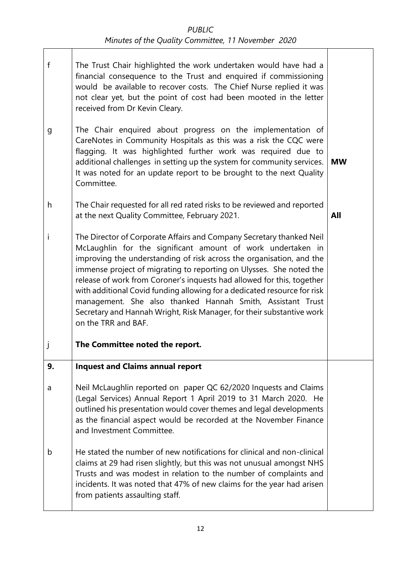- *PUBLIC Minutes of the Quality Committee, 11 November 2020*
- f g h i j The Trust Chair highlighted the work undertaken would have had a financial consequence to the Trust and enquired if commissioning would be available to recover costs. The Chief Nurse replied it was not clear yet, but the point of cost had been mooted in the letter received from Dr Kevin Cleary. The Chair enquired about progress on the implementation of CareNotes in Community Hospitals as this was a risk the CQC were flagging. It was highlighted further work was required due to additional challenges in setting up the system for community services. It was noted for an update report to be brought to the next Quality Committee. The Chair requested for all red rated risks to be reviewed and reported at the next Quality Committee, February 2021. The Director of Corporate Affairs and Company Secretary thanked Neil McLaughlin for the significant amount of work undertaken in improving the understanding of risk across the organisation, and the immense project of migrating to reporting on Ulysses. She noted the release of work from Coroner's inquests had allowed for this, together with additional Covid funding allowing for a dedicated resource for risk management. She also thanked Hannah Smith, Assistant Trust Secretary and Hannah Wright, Risk Manager, for their substantive work on the TRR and BAF. **The Committee noted the report. MW All 9.** a b **Inquest and Claims annual report** Neil McLaughlin reported on paper QC 62/2020 Inquests and Claims (Legal Services) Annual Report 1 April 2019 to 31 March 2020. He outlined his presentation would cover themes and legal developments as the financial aspect would be recorded at the November Finance and Investment Committee. He stated the number of new notifications for clinical and non-clinical claims at 29 had risen slightly, but this was not unusual amongst NHS Trusts and was modest in relation to the number of complaints and incidents. It was noted that 47% of new claims for the year had arisen from patients assaulting staff.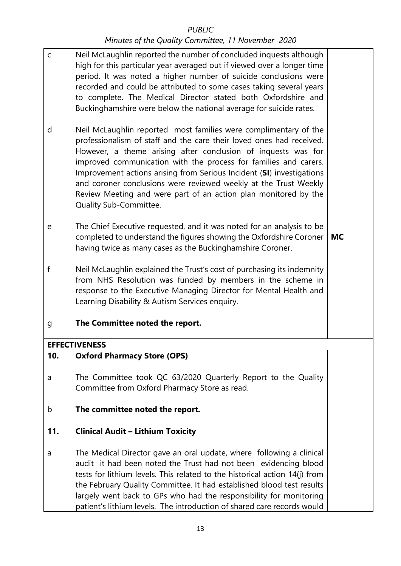| $\mathsf C$ | Neil McLaughlin reported the number of concluded inquests although<br>high for this particular year averaged out if viewed over a longer time<br>period. It was noted a higher number of suicide conclusions were<br>recorded and could be attributed to some cases taking several years<br>to complete. The Medical Director stated both Oxfordshire and<br>Buckinghamshire were below the national average for suicide rates.                                                                                         |           |
|-------------|-------------------------------------------------------------------------------------------------------------------------------------------------------------------------------------------------------------------------------------------------------------------------------------------------------------------------------------------------------------------------------------------------------------------------------------------------------------------------------------------------------------------------|-----------|
| d           | Neil McLaughlin reported most families were complimentary of the<br>professionalism of staff and the care their loved ones had received.<br>However, a theme arising after conclusion of inquests was for<br>improved communication with the process for families and carers.<br>Improvement actions arising from Serious Incident (SI) investigations<br>and coroner conclusions were reviewed weekly at the Trust Weekly<br>Review Meeting and were part of an action plan monitored by the<br>Quality Sub-Committee. |           |
| е           | The Chief Executive requested, and it was noted for an analysis to be<br>completed to understand the figures showing the Oxfordshire Coroner<br>having twice as many cases as the Buckinghamshire Coroner.                                                                                                                                                                                                                                                                                                              | <b>MC</b> |
| f           | Neil McLaughlin explained the Trust's cost of purchasing its indemnity<br>from NHS Resolution was funded by members in the scheme in<br>response to the Executive Managing Director for Mental Health and<br>Learning Disability & Autism Services enquiry.                                                                                                                                                                                                                                                             |           |
| g           | The Committee noted the report.                                                                                                                                                                                                                                                                                                                                                                                                                                                                                         |           |
|             | <b>EFFECTIVENESS</b>                                                                                                                                                                                                                                                                                                                                                                                                                                                                                                    |           |
| 10.         | <b>Oxford Pharmacy Store (OPS)</b>                                                                                                                                                                                                                                                                                                                                                                                                                                                                                      |           |
| a           | The Committee took QC 63/2020 Quarterly Report to the Quality<br>Committee from Oxford Pharmacy Store as read.                                                                                                                                                                                                                                                                                                                                                                                                          |           |
| b           | The committee noted the report.                                                                                                                                                                                                                                                                                                                                                                                                                                                                                         |           |
| 11.         | <b>Clinical Audit - Lithium Toxicity</b>                                                                                                                                                                                                                                                                                                                                                                                                                                                                                |           |
| a           | The Medical Director gave an oral update, where following a clinical<br>audit it had been noted the Trust had not been evidencing blood<br>tests for lithium levels. This related to the historical action 14(j) from<br>the February Quality Committee. It had established blood test results<br>largely went back to GPs who had the responsibility for monitoring<br>patient's lithium levels. The introduction of shared care records would                                                                         |           |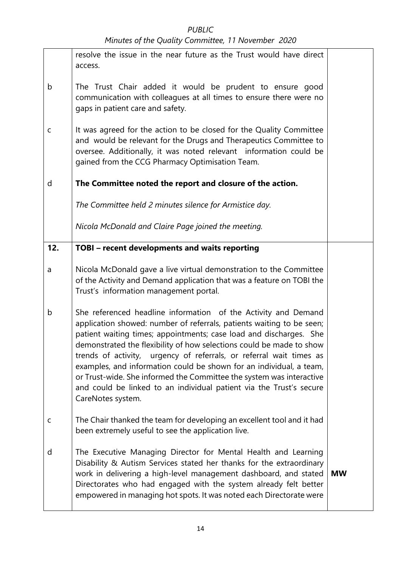|              | resolve the issue in the near future as the Trust would have direct<br>access.                                                                                                                                                                                                                                                                                                                                                                                                                                                                                                                          |           |
|--------------|---------------------------------------------------------------------------------------------------------------------------------------------------------------------------------------------------------------------------------------------------------------------------------------------------------------------------------------------------------------------------------------------------------------------------------------------------------------------------------------------------------------------------------------------------------------------------------------------------------|-----------|
| b            | The Trust Chair added it would be prudent to ensure good<br>communication with colleagues at all times to ensure there were no<br>gaps in patient care and safety.                                                                                                                                                                                                                                                                                                                                                                                                                                      |           |
| $\mathsf{C}$ | It was agreed for the action to be closed for the Quality Committee<br>and would be relevant for the Drugs and Therapeutics Committee to<br>oversee. Additionally, it was noted relevant information could be<br>gained from the CCG Pharmacy Optimisation Team.                                                                                                                                                                                                                                                                                                                                        |           |
| d            | The Committee noted the report and closure of the action.                                                                                                                                                                                                                                                                                                                                                                                                                                                                                                                                               |           |
|              | The Committee held 2 minutes silence for Armistice day.                                                                                                                                                                                                                                                                                                                                                                                                                                                                                                                                                 |           |
|              | Nicola McDonald and Claire Page joined the meeting.                                                                                                                                                                                                                                                                                                                                                                                                                                                                                                                                                     |           |
| 12.          | TOBI - recent developments and waits reporting                                                                                                                                                                                                                                                                                                                                                                                                                                                                                                                                                          |           |
| a            | Nicola McDonald gave a live virtual demonstration to the Committee<br>of the Activity and Demand application that was a feature on TOBI the<br>Trust's information management portal.                                                                                                                                                                                                                                                                                                                                                                                                                   |           |
| b            | She referenced headline information of the Activity and Demand<br>application showed: number of referrals, patients waiting to be seen;<br>patient waiting times; appointments; case load and discharges. She<br>demonstrated the flexibility of how selections could be made to show<br>trends of activity, urgency of referrals, or referral wait times as<br>examples, and information could be shown for an individual, a team,<br>or Trust-wide. She informed the Committee the system was interactive<br>and could be linked to an individual patient via the Trust's secure<br>CareNotes system. |           |
| $\mathsf{C}$ | The Chair thanked the team for developing an excellent tool and it had<br>been extremely useful to see the application live.                                                                                                                                                                                                                                                                                                                                                                                                                                                                            |           |
| d            | The Executive Managing Director for Mental Health and Learning<br>Disability & Autism Services stated her thanks for the extraordinary<br>work in delivering a high-level management dashboard, and stated<br>Directorates who had engaged with the system already felt better<br>empowered in managing hot spots. It was noted each Directorate were                                                                                                                                                                                                                                                   | <b>MW</b> |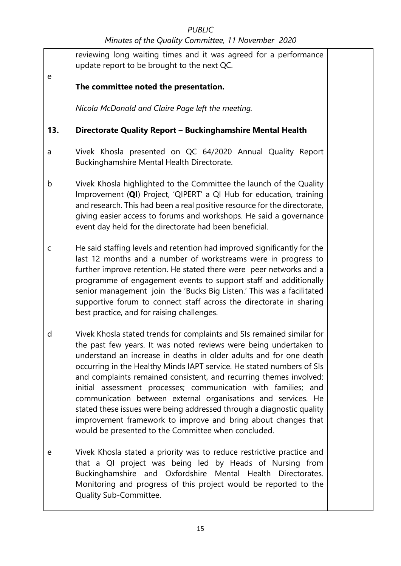|             | reviewing long waiting times and it was agreed for a performance                                                                                                                                                                                                                                                                                                                                                                                                                                                                                                                                                                                                                                     |  |
|-------------|------------------------------------------------------------------------------------------------------------------------------------------------------------------------------------------------------------------------------------------------------------------------------------------------------------------------------------------------------------------------------------------------------------------------------------------------------------------------------------------------------------------------------------------------------------------------------------------------------------------------------------------------------------------------------------------------------|--|
| e           | update report to be brought to the next QC.                                                                                                                                                                                                                                                                                                                                                                                                                                                                                                                                                                                                                                                          |  |
|             | The committee noted the presentation.                                                                                                                                                                                                                                                                                                                                                                                                                                                                                                                                                                                                                                                                |  |
|             | Nicola McDonald and Claire Page left the meeting.                                                                                                                                                                                                                                                                                                                                                                                                                                                                                                                                                                                                                                                    |  |
| 13.         | Directorate Quality Report - Buckinghamshire Mental Health                                                                                                                                                                                                                                                                                                                                                                                                                                                                                                                                                                                                                                           |  |
| a           | Vivek Khosla presented on QC 64/2020 Annual Quality Report<br>Buckinghamshire Mental Health Directorate.                                                                                                                                                                                                                                                                                                                                                                                                                                                                                                                                                                                             |  |
| b           | Vivek Khosla highlighted to the Committee the launch of the Quality<br>Improvement (QI) Project, 'QIPERT' a QI Hub for education, training<br>and research. This had been a real positive resource for the directorate,<br>giving easier access to forums and workshops. He said a governance<br>event day held for the directorate had been beneficial.                                                                                                                                                                                                                                                                                                                                             |  |
| $\mathsf C$ | He said staffing levels and retention had improved significantly for the<br>last 12 months and a number of workstreams were in progress to<br>further improve retention. He stated there were peer networks and a<br>programme of engagement events to support staff and additionally<br>senior management join the 'Bucks Big Listen.' This was a facilitated<br>supportive forum to connect staff across the directorate in sharing<br>best practice, and for raising challenges.                                                                                                                                                                                                                  |  |
| d           | Vivek Khosla stated trends for complaints and SIs remained similar for<br>the past few years. It was noted reviews were being undertaken to<br>understand an increase in deaths in older adults and for one death<br>occurring in the Healthy Minds IAPT service. He stated numbers of SIs<br>and complaints remained consistent, and recurring themes involved:<br>initial assessment processes; communication with families; and<br>communication between external organisations and services. He<br>stated these issues were being addressed through a diagnostic quality<br>improvement framework to improve and bring about changes that<br>would be presented to the Committee when concluded. |  |
| e           | Vivek Khosla stated a priority was to reduce restrictive practice and<br>that a QI project was being led by Heads of Nursing from<br>Buckinghamshire and Oxfordshire Mental Health Directorates.<br>Monitoring and progress of this project would be reported to the<br>Quality Sub-Committee.                                                                                                                                                                                                                                                                                                                                                                                                       |  |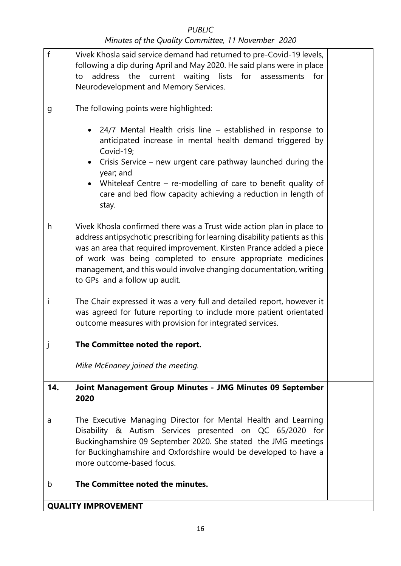### *PUBLIC*

| $\mathsf{f}$ | Vivek Khosla said service demand had returned to pre-Covid-19 levels,<br>following a dip during April and May 2020. He said plans were in place<br>address the current waiting lists<br>for assessments for<br>to<br>Neurodevelopment and Memory Services.                                                                                                                                       |  |
|--------------|--------------------------------------------------------------------------------------------------------------------------------------------------------------------------------------------------------------------------------------------------------------------------------------------------------------------------------------------------------------------------------------------------|--|
| g            | The following points were highlighted:                                                                                                                                                                                                                                                                                                                                                           |  |
|              | 24/7 Mental Health crisis line – established in response to<br>anticipated increase in mental health demand triggered by<br>Covid-19;<br>Crisis Service – new urgent care pathway launched during the<br>$\bullet$<br>year; and<br>Whiteleaf Centre – re-modelling of care to benefit quality of<br>$\bullet$<br>care and bed flow capacity achieving a reduction in length of<br>stay.          |  |
| h            | Vivek Khosla confirmed there was a Trust wide action plan in place to<br>address antipsychotic prescribing for learning disability patients as this<br>was an area that required improvement. Kirsten Prance added a piece<br>of work was being completed to ensure appropriate medicines<br>management, and this would involve changing documentation, writing<br>to GPs and a follow up audit. |  |
| i            | The Chair expressed it was a very full and detailed report, however it<br>was agreed for future reporting to include more patient orientated<br>outcome measures with provision for integrated services.                                                                                                                                                                                         |  |
|              | The Committee noted the report.                                                                                                                                                                                                                                                                                                                                                                  |  |
|              | Mike McEnaney joined the meeting.                                                                                                                                                                                                                                                                                                                                                                |  |
| 14.          | Joint Management Group Minutes - JMG Minutes 09 September<br>2020                                                                                                                                                                                                                                                                                                                                |  |
| a            | The Executive Managing Director for Mental Health and Learning<br>Disability & Autism Services presented on QC 65/2020 for<br>Buckinghamshire 09 September 2020. She stated the JMG meetings<br>for Buckinghamshire and Oxfordshire would be developed to have a<br>more outcome-based focus.                                                                                                    |  |
| b            | The Committee noted the minutes.                                                                                                                                                                                                                                                                                                                                                                 |  |
|              | <b>QUALITY IMPROVEMENT</b>                                                                                                                                                                                                                                                                                                                                                                       |  |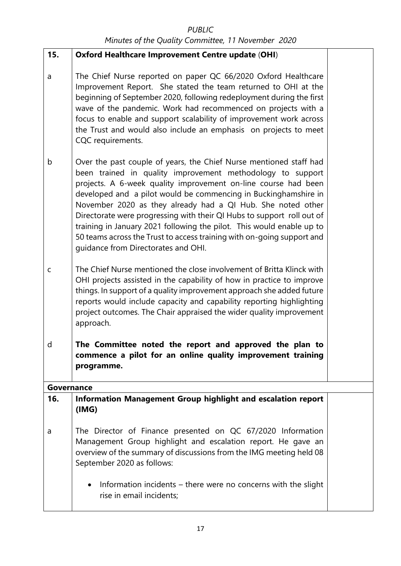| 15.          | <b>Oxford Healthcare Improvement Centre update (OHI)</b>                                                                                                                                                                                                                                                                                                                                                                                                                                                                                                                                                 |  |
|--------------|----------------------------------------------------------------------------------------------------------------------------------------------------------------------------------------------------------------------------------------------------------------------------------------------------------------------------------------------------------------------------------------------------------------------------------------------------------------------------------------------------------------------------------------------------------------------------------------------------------|--|
| a            | The Chief Nurse reported on paper QC 66/2020 Oxford Healthcare<br>Improvement Report. She stated the team returned to OHI at the<br>beginning of September 2020, following redeployment during the first<br>wave of the pandemic. Work had recommenced on projects with a<br>focus to enable and support scalability of improvement work across<br>the Trust and would also include an emphasis on projects to meet<br>CQC requirements.                                                                                                                                                                 |  |
| b            | Over the past couple of years, the Chief Nurse mentioned staff had<br>been trained in quality improvement methodology to support<br>projects. A 6-week quality improvement on-line course had been<br>developed and a pilot would be commencing in Buckinghamshire in<br>November 2020 as they already had a QI Hub. She noted other<br>Directorate were progressing with their QI Hubs to support roll out of<br>training in January 2021 following the pilot. This would enable up to<br>50 teams across the Trust to access training with on-going support and<br>guidance from Directorates and OHI. |  |
| $\mathsf{C}$ | The Chief Nurse mentioned the close involvement of Britta Klinck with<br>OHI projects assisted in the capability of how in practice to improve<br>things. In support of a quality improvement approach she added future<br>reports would include capacity and capability reporting highlighting<br>project outcomes. The Chair appraised the wider quality improvement<br>approach.                                                                                                                                                                                                                      |  |
| d            | The Committee noted the report and approved the plan to<br>commence a pilot for an online quality improvement training<br>programme.                                                                                                                                                                                                                                                                                                                                                                                                                                                                     |  |
| Governance   |                                                                                                                                                                                                                                                                                                                                                                                                                                                                                                                                                                                                          |  |
| 16.          | Information Management Group highlight and escalation report<br>(IMG)                                                                                                                                                                                                                                                                                                                                                                                                                                                                                                                                    |  |
| a            | The Director of Finance presented on QC 67/2020 Information<br>Management Group highlight and escalation report. He gave an<br>overview of the summary of discussions from the IMG meeting held 08<br>September 2020 as follows:                                                                                                                                                                                                                                                                                                                                                                         |  |
|              | Information incidents - there were no concerns with the slight<br>٠<br>rise in email incidents;                                                                                                                                                                                                                                                                                                                                                                                                                                                                                                          |  |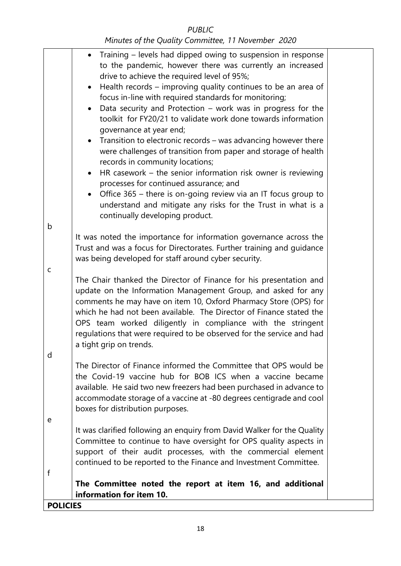### b c d e f • Training – levels had dipped owing to suspension in response to the pandemic, however there was currently an increased drive to achieve the required level of 95%; • Health records – improving quality continues to be an area of focus in-line with required standards for monitoring; • Data security and Protection – work was in progress for the toolkit for FY20/21 to validate work done towards information governance at year end; • Transition to electronic records – was advancing however there were challenges of transition from paper and storage of health records in community locations; • HR casework – the senior information risk owner is reviewing processes for continued assurance; and • Office 365 – there is on-going review via an IT focus group to understand and mitigate any risks for the Trust in what is a continually developing product. It was noted the importance for information governance across the Trust and was a focus for Directorates. Further training and guidance was being developed for staff around cyber security. The Chair thanked the Director of Finance for his presentation and update on the Information Management Group, and asked for any comments he may have on item 10, Oxford Pharmacy Store (OPS) for which he had not been available. The Director of Finance stated the OPS team worked diligently in compliance with the stringent regulations that were required to be observed for the service and had a tight grip on trends. The Director of Finance informed the Committee that OPS would be the Covid-19 vaccine hub for BOB ICS when a vaccine became available. He said two new freezers had been purchased in advance to accommodate storage of a vaccine at -80 degrees centigrade and cool boxes for distribution purposes. It was clarified following an enquiry from David Walker for the Quality Committee to continue to have oversight for OPS quality aspects in support of their audit processes, with the commercial element continued to be reported to the Finance and Investment Committee. **The Committee noted the report at item 16, and additional information for item 10. POLICIES**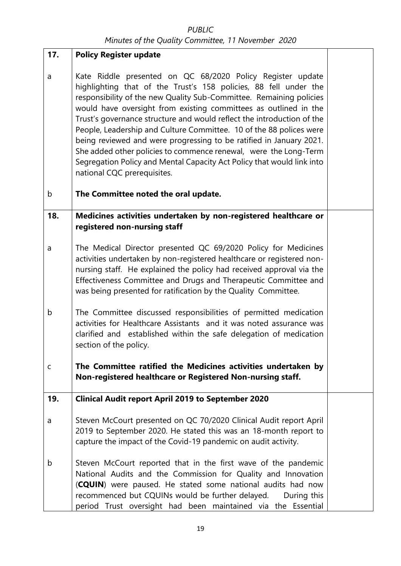| 17.    | <b>Policy Register update</b>                                                                                                                                                                                                                                                                                                                                                                                                                                                                                                                                                                                                                                                  |  |
|--------|--------------------------------------------------------------------------------------------------------------------------------------------------------------------------------------------------------------------------------------------------------------------------------------------------------------------------------------------------------------------------------------------------------------------------------------------------------------------------------------------------------------------------------------------------------------------------------------------------------------------------------------------------------------------------------|--|
| a<br>b | Kate Riddle presented on QC 68/2020 Policy Register update<br>highlighting that of the Trust's 158 policies, 88 fell under the<br>responsibility of the new Quality Sub-Committee. Remaining policies<br>would have oversight from existing committees as outlined in the<br>Trust's governance structure and would reflect the introduction of the<br>People, Leadership and Culture Committee. 10 of the 88 polices were<br>being reviewed and were progressing to be ratified in January 2021.<br>She added other policies to commence renewal, were the Long-Term<br>Segregation Policy and Mental Capacity Act Policy that would link into<br>national CQC prerequisites. |  |
|        | The Committee noted the oral update.                                                                                                                                                                                                                                                                                                                                                                                                                                                                                                                                                                                                                                           |  |
| 18.    | Medicines activities undertaken by non-registered healthcare or<br>registered non-nursing staff                                                                                                                                                                                                                                                                                                                                                                                                                                                                                                                                                                                |  |
| a      | The Medical Director presented QC 69/2020 Policy for Medicines<br>activities undertaken by non-registered healthcare or registered non-<br>nursing staff. He explained the policy had received approval via the<br>Effectiveness Committee and Drugs and Therapeutic Committee and<br>was being presented for ratification by the Quality Committee.                                                                                                                                                                                                                                                                                                                           |  |
| b      | The Committee discussed responsibilities of permitted medication<br>activities for Healthcare Assistants and it was noted assurance was<br>clarified and established within the safe delegation of medication<br>section of the policy.                                                                                                                                                                                                                                                                                                                                                                                                                                        |  |
| C      | The Committee ratified the Medicines activities undertaken by<br>Non-registered healthcare or Registered Non-nursing staff.                                                                                                                                                                                                                                                                                                                                                                                                                                                                                                                                                    |  |
| 19.    | <b>Clinical Audit report April 2019 to September 2020</b>                                                                                                                                                                                                                                                                                                                                                                                                                                                                                                                                                                                                                      |  |
| a      | Steven McCourt presented on QC 70/2020 Clinical Audit report April<br>2019 to September 2020. He stated this was an 18-month report to<br>capture the impact of the Covid-19 pandemic on audit activity.                                                                                                                                                                                                                                                                                                                                                                                                                                                                       |  |
| b      | Steven McCourt reported that in the first wave of the pandemic<br>National Audits and the Commission for Quality and Innovation<br>(CQUIN) were paused. He stated some national audits had now<br>recommenced but CQUINs would be further delayed.<br>During this<br>period Trust oversight had been maintained via the Essential                                                                                                                                                                                                                                                                                                                                              |  |